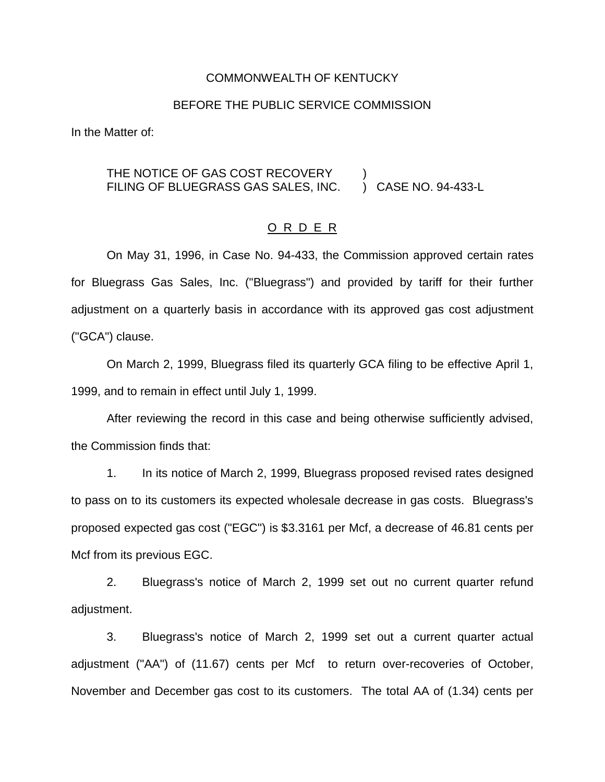#### COMMONWEALTH OF KENTUCKY

#### BEFORE THE PUBLIC SERVICE COMMISSION

In the Matter of:

## THE NOTICE OF GAS COST RECOVERY ) FILING OF BLUEGRASS GAS SALES, INC.

#### O R D E R

On May 31, 1996, in Case No. 94-433, the Commission approved certain rates for Bluegrass Gas Sales, Inc. ("Bluegrass") and provided by tariff for their further adjustment on a quarterly basis in accordance with its approved gas cost adjustment ("GCA") clause.

On March 2, 1999, Bluegrass filed its quarterly GCA filing to be effective April 1, 1999, and to remain in effect until July 1, 1999.

After reviewing the record in this case and being otherwise sufficiently advised, the Commission finds that:

1. In its notice of March 2, 1999, Bluegrass proposed revised rates designed to pass on to its customers its expected wholesale decrease in gas costs. Bluegrass's proposed expected gas cost ("EGC") is \$3.3161 per Mcf, a decrease of 46.81 cents per Mcf from its previous EGC.

2. Bluegrass's notice of March 2, 1999 set out no current quarter refund adjustment.

3. Bluegrass's notice of March 2, 1999 set out a current quarter actual adjustment ("AA") of (11.67) cents per Mcf to return over-recoveries of October, November and December gas cost to its customers. The total AA of (1.34) cents per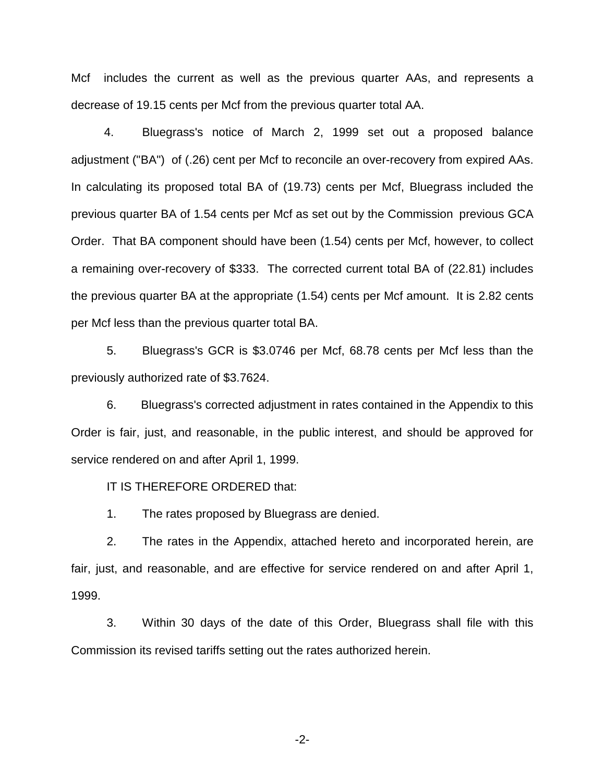Mcf includes the current as well as the previous quarter AAs, and represents a decrease of 19.15 cents per Mcf from the previous quarter total AA.

4. Bluegrass's notice of March 2, 1999 set out a proposed balance adjustment ("BA") of (.26) cent per Mcf to reconcile an over-recovery from expired AAs. In calculating its proposed total BA of (19.73) cents per Mcf, Bluegrass included the previous quarter BA of 1.54 cents per Mcf as set out by the Commission previous GCA Order. That BA component should have been (1.54) cents per Mcf, however, to collect a remaining over-recovery of \$333. The corrected current total BA of (22.81) includes the previous quarter BA at the appropriate (1.54) cents per Mcf amount. It is 2.82 cents per Mcf less than the previous quarter total BA.

5. Bluegrass's GCR is \$3.0746 per Mcf, 68.78 cents per Mcf less than the previously authorized rate of \$3.7624.

6. Bluegrass's corrected adjustment in rates contained in the Appendix to this Order is fair, just, and reasonable, in the public interest, and should be approved for service rendered on and after April 1, 1999.

IT IS THEREFORE ORDERED that:

1. The rates proposed by Bluegrass are denied.

2. The rates in the Appendix, attached hereto and incorporated herein, are fair, just, and reasonable, and are effective for service rendered on and after April 1, 1999.

3. Within 30 days of the date of this Order, Bluegrass shall file with this Commission its revised tariffs setting out the rates authorized herein.

-2-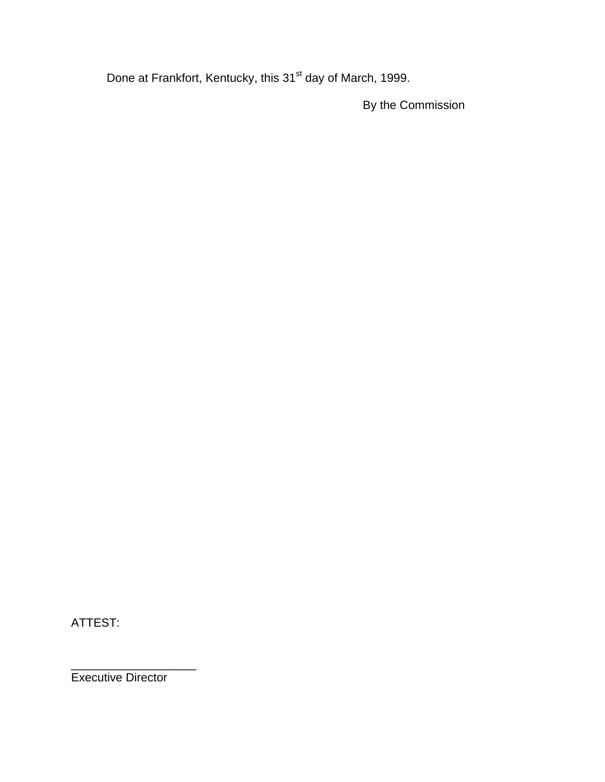Done at Frankfort, Kentucky, this 31<sup>st</sup> day of March, 1999.

By the Commission

ATTEST:

\_\_\_\_\_\_\_\_\_\_\_\_\_\_\_\_\_\_\_ Executive Director